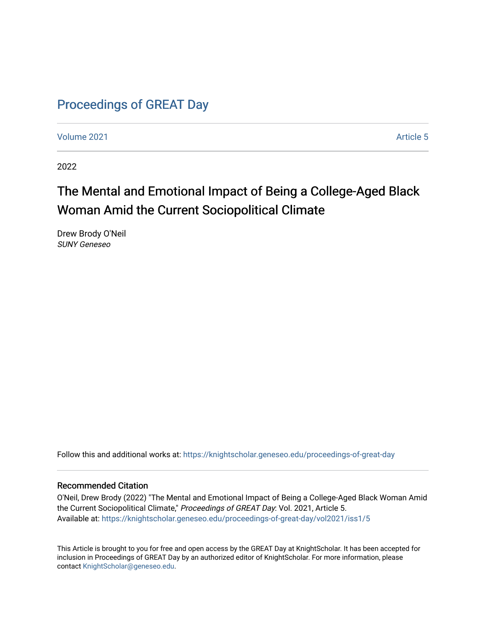# [Proceedings of GREAT Day](https://knightscholar.geneseo.edu/proceedings-of-great-day)

[Volume 2021](https://knightscholar.geneseo.edu/proceedings-of-great-day/vol2021) **Article 5** Article 5

2022

# The Mental and Emotional Impact of Being a College-Aged Black Woman Amid the Current Sociopolitical Climate

Drew Brody O'Neil SUNY Geneseo

Follow this and additional works at: [https://knightscholar.geneseo.edu/proceedings-of-great-day](https://knightscholar.geneseo.edu/proceedings-of-great-day?utm_source=knightscholar.geneseo.edu%2Fproceedings-of-great-day%2Fvol2021%2Fiss1%2F5&utm_medium=PDF&utm_campaign=PDFCoverPages) 

#### Recommended Citation

O'Neil, Drew Brody (2022) "The Mental and Emotional Impact of Being a College-Aged Black Woman Amid the Current Sociopolitical Climate," Proceedings of GREAT Day: Vol. 2021, Article 5. Available at: [https://knightscholar.geneseo.edu/proceedings-of-great-day/vol2021/iss1/5](https://knightscholar.geneseo.edu/proceedings-of-great-day/vol2021/iss1/5?utm_source=knightscholar.geneseo.edu%2Fproceedings-of-great-day%2Fvol2021%2Fiss1%2F5&utm_medium=PDF&utm_campaign=PDFCoverPages) 

This Article is brought to you for free and open access by the GREAT Day at KnightScholar. It has been accepted for inclusion in Proceedings of GREAT Day by an authorized editor of KnightScholar. For more information, please contact [KnightScholar@geneseo.edu.](mailto:KnightScholar@geneseo.edu)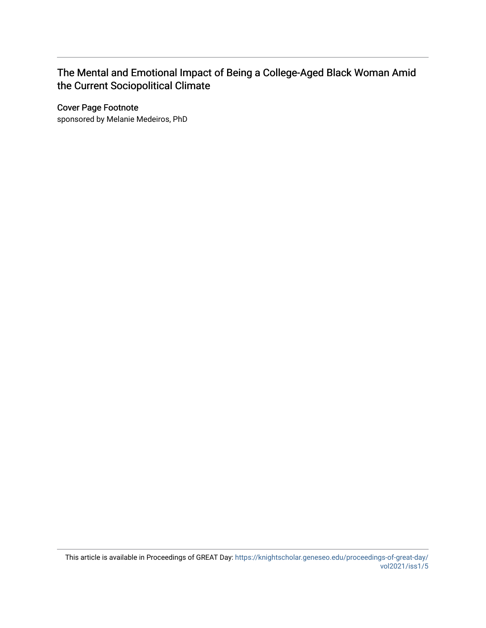## The Mental and Emotional Impact of Being a College-Aged Black Woman Amid the Current Sociopolitical Climate

Cover Page Footnote

sponsored by Melanie Medeiros, PhD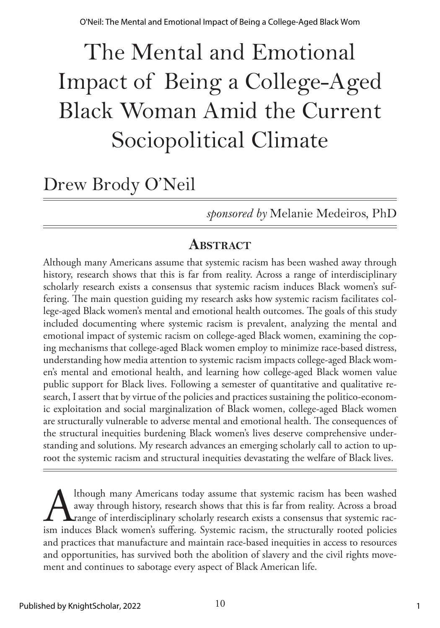# The Mental and Emotional Impact of Being a College-Aged Black Woman Amid the Current Sociopolitical Climate

# Drew Brody O'Neil

*sponsored by* Melanie Medeiros, PhD

## **ABSTRACT**

Although many Americans assume that systemic racism has been washed away through history, research shows that this is far from reality. Across a range of interdisciplinary scholarly research exists a consensus that systemic racism induces Black women's suffering. The main question guiding my research asks how systemic racism facilitates college-aged Black women's mental and emotional health outcomes. The goals of this study included documenting where systemic racism is prevalent, analyzing the mental and emotional impact of systemic racism on college-aged Black women, examining the coping mechanisms that college-aged Black women employ to minimize race-based distress, understanding how media attention to systemic racism impacts college-aged Black women's mental and emotional health, and learning how college-aged Black women value public support for Black lives. Following a semester of quantitative and qualitative research, I assert that by virtue of the policies and practices sustaining the politico-economic exploitation and social marginalization of Black women, college-aged Black women are structurally vulnerable to adverse mental and emotional health. The consequences of the structural inequities burdening Black women's lives deserve comprehensive understanding and solutions. My research advances an emerging scholarly call to action to uproot the systemic racism and structural inequities devastating the welfare of Black lives.

Ithough many Americans today assume that systemic racism has been washed<br>away through history, research shows that this is far from reality. Across a broad<br>range of interdisciplinary scholarly research exists a consensus t away through history, research shows that this is far from reality. Across a broad range of interdisciplinary scholarly research exists a consensus that systemic racism induces Black women's suffering. Systemic racism, the structurally rooted policies and practices that manufacture and maintain race-based inequities in access to resources and opportunities, has survived both the abolition of slavery and the civil rights movement and continues to sabotage every aspect of Black American life.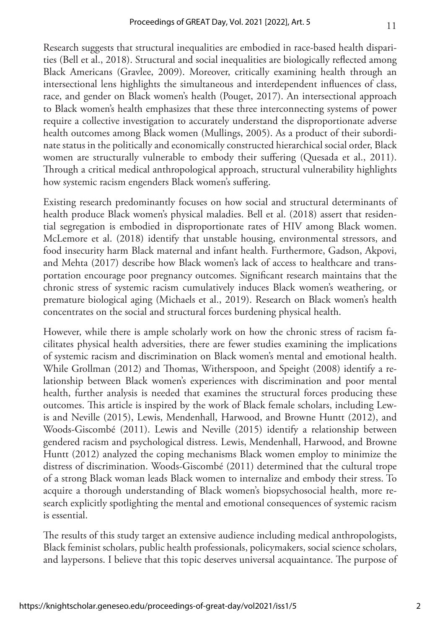Research suggests that structural inequalities are embodied in race-based health disparities (Bell et al., 2018). Structural and social inequalities are biologically reflected among Black Americans (Gravlee, 2009). Moreover, critically examining health through an intersectional lens highlights the simultaneous and interdependent influences of class, race, and gender on Black women's health (Pouget, 2017). An intersectional approach to Black women's health emphasizes that these three interconnecting systems of power require a collective investigation to accurately understand the disproportionate adverse health outcomes among Black women (Mullings, 2005). As a product of their subordinate status in the politically and economically constructed hierarchical social order, Black women are structurally vulnerable to embody their suffering (Quesada et al., 2011). Through a critical medical anthropological approach, structural vulnerability highlights how systemic racism engenders Black women's suffering.

Existing research predominantly focuses on how social and structural determinants of health produce Black women's physical maladies. Bell et al. (2018) assert that residential segregation is embodied in disproportionate rates of HIV among Black women. McLemore et al. (2018) identify that unstable housing, environmental stressors, and food insecurity harm Black maternal and infant health. Furthermore, Gadson, Akpovi, and Mehta (2017) describe how Black women's lack of access to healthcare and transportation encourage poor pregnancy outcomes. Significant research maintains that the chronic stress of systemic racism cumulatively induces Black women's weathering, or premature biological aging (Michaels et al., 2019). Research on Black women's health concentrates on the social and structural forces burdening physical health.

However, while there is ample scholarly work on how the chronic stress of racism facilitates physical health adversities, there are fewer studies examining the implications of systemic racism and discrimination on Black women's mental and emotional health. While Grollman (2012) and Thomas, Witherspoon, and Speight (2008) identify a relationship between Black women's experiences with discrimination and poor mental health, further analysis is needed that examines the structural forces producing these outcomes. This article is inspired by the work of Black female scholars, including Lewis and Neville (2015), Lewis, Mendenhall, Harwood, and Browne Huntt (2012), and Woods-Giscombé (2011). Lewis and Neville (2015) identify a relationship between gendered racism and psychological distress. Lewis, Mendenhall, Harwood, and Browne Huntt (2012) analyzed the coping mechanisms Black women employ to minimize the distress of discrimination. Woods-Giscombé (2011) determined that the cultural trope of a strong Black woman leads Black women to internalize and embody their stress. To acquire a thorough understanding of Black women's biopsychosocial health, more research explicitly spotlighting the mental and emotional consequences of systemic racism is essential.

The results of this study target an extensive audience including medical anthropologists, Black feminist scholars, public health professionals, policymakers, social science scholars, and laypersons. I believe that this topic deserves universal acquaintance. The purpose of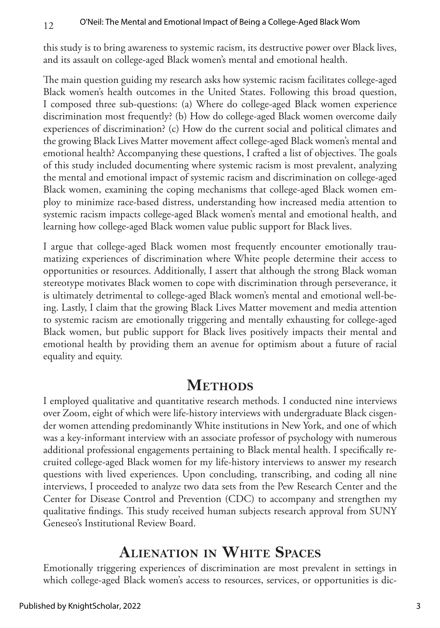this study is to bring awareness to systemic racism, its destructive power over Black lives, and its assault on college-aged Black women's mental and emotional health.

The main question guiding my research asks how systemic racism facilitates college-aged Black women's health outcomes in the United States. Following this broad question, I composed three sub-questions: (a) Where do college-aged Black women experience discrimination most frequently? (b) How do college-aged Black women overcome daily experiences of discrimination? (c) How do the current social and political climates and the growing Black Lives Matter movement affect college-aged Black women's mental and emotional health? Accompanying these questions, I crafted a list of objectives. The goals of this study included documenting where systemic racism is most prevalent, analyzing the mental and emotional impact of systemic racism and discrimination on college-aged Black women, examining the coping mechanisms that college-aged Black women employ to minimize race-based distress, understanding how increased media attention to systemic racism impacts college-aged Black women's mental and emotional health, and learning how college-aged Black women value public support for Black lives.

I argue that college-aged Black women most frequently encounter emotionally traumatizing experiences of discrimination where White people determine their access to opportunities or resources. Additionally, I assert that although the strong Black woman stereotype motivates Black women to cope with discrimination through perseverance, it is ultimately detrimental to college-aged Black women's mental and emotional well-being. Lastly, I claim that the growing Black Lives Matter movement and media attention to systemic racism are emotionally triggering and mentally exhausting for college-aged Black women, but public support for Black lives positively impacts their mental and emotional health by providing them an avenue for optimism about a future of racial equality and equity.

## **METHODS**

I employed qualitative and quantitative research methods. I conducted nine interviews over Zoom, eight of which were life-history interviews with undergraduate Black cisgender women attending predominantly White institutions in New York, and one of which was a key-informant interview with an associate professor of psychology with numerous additional professional engagements pertaining to Black mental health. I specifically recruited college-aged Black women for my life-history interviews to answer my research questions with lived experiences. Upon concluding, transcribing, and coding all nine interviews, I proceeded to analyze two data sets from the Pew Research Center and the Center for Disease Control and Prevention (CDC) to accompany and strengthen my qualitative findings. This study received human subjects research approval from SUNY Geneseo's Institutional Review Board.

# **Alienation in White Spaces**

Emotionally triggering experiences of discrimination are most prevalent in settings in which college-aged Black women's access to resources, services, or opportunities is dic-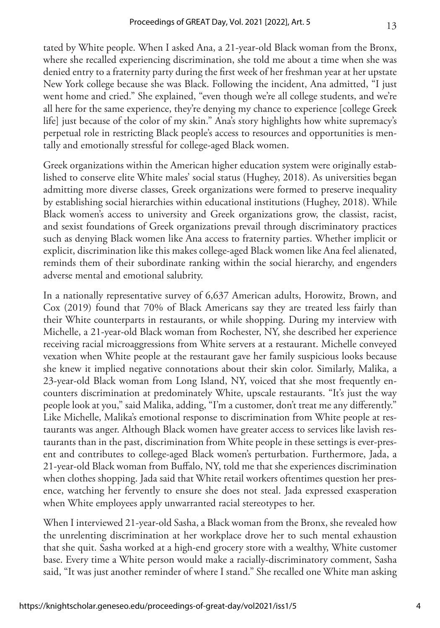tated by White people. When I asked Ana, a 21-year-old Black woman from the Bronx, where she recalled experiencing discrimination, she told me about a time when she was denied entry to a fraternity party during the first week of her freshman year at her upstate New York college because she was Black. Following the incident, Ana admitted, "I just went home and cried." She explained, "even though we're all college students, and we're all here for the same experience, they're denying my chance to experience [college Greek life] just because of the color of my skin." Ana's story highlights how white supremacy's perpetual role in restricting Black people's access to resources and opportunities is mentally and emotionally stressful for college-aged Black women.

Greek organizations within the American higher education system were originally established to conserve elite White males' social status (Hughey, 2018). As universities began admitting more diverse classes, Greek organizations were formed to preserve inequality by establishing social hierarchies within educational institutions (Hughey, 2018). While Black women's access to university and Greek organizations grow, the classist, racist, and sexist foundations of Greek organizations prevail through discriminatory practices such as denying Black women like Ana access to fraternity parties. Whether implicit or explicit, discrimination like this makes college-aged Black women like Ana feel alienated, reminds them of their subordinate ranking within the social hierarchy, and engenders adverse mental and emotional salubrity.

In a nationally representative survey of 6,637 American adults, Horowitz, Brown, and Cox (2019) found that 70% of Black Americans say they are treated less fairly than their White counterparts in restaurants, or while shopping. During my interview with Michelle, a 21-year-old Black woman from Rochester, NY, she described her experience receiving racial microaggressions from White servers at a restaurant. Michelle conveyed vexation when White people at the restaurant gave her family suspicious looks because she knew it implied negative connotations about their skin color. Similarly, Malika, a 23-year-old Black woman from Long Island, NY, voiced that she most frequently encounters discrimination at predominately White, upscale restaurants. "It's just the way people look at you," said Malika, adding, "I'm a customer, don't treat me any differently." Like Michelle, Malika's emotional response to discrimination from White people at restaurants was anger. Although Black women have greater access to services like lavish restaurants than in the past, discrimination from White people in these settings is ever-present and contributes to college-aged Black women's perturbation. Furthermore, Jada, a 21-year-old Black woman from Buffalo, NY, told me that she experiences discrimination when clothes shopping. Jada said that White retail workers oftentimes question her presence, watching her fervently to ensure she does not steal. Jada expressed exasperation when White employees apply unwarranted racial stereotypes to her.

When I interviewed 21-year-old Sasha, a Black woman from the Bronx, she revealed how the unrelenting discrimination at her workplace drove her to such mental exhaustion that she quit. Sasha worked at a high-end grocery store with a wealthy, White customer base. Every time a White person would make a racially-discriminatory comment, Sasha said, "It was just another reminder of where I stand." She recalled one White man asking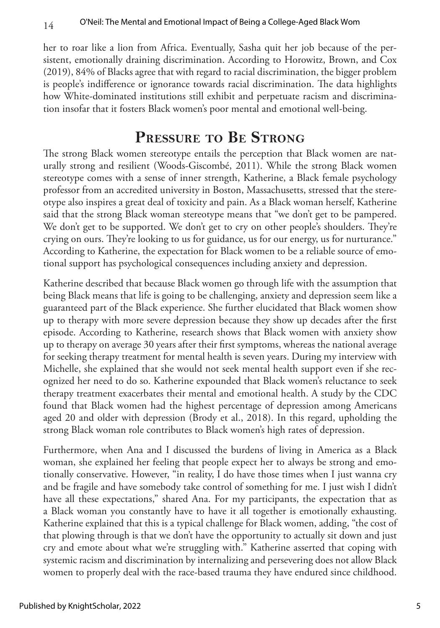her to roar like a lion from Africa. Eventually, Sasha quit her job because of the persistent, emotionally draining discrimination. According to Horowitz, Brown, and Cox (2019), 84% of Blacks agree that with regard to racial discrimination, the bigger problem is people's indifference or ignorance towards racial discrimination. The data highlights how White-dominated institutions still exhibit and perpetuate racism and discrimination insofar that it fosters Black women's poor mental and emotional well-being.

#### **Pressure to Be Strong**

The strong Black women stereotype entails the perception that Black women are naturally strong and resilient (Woods-Giscombé, 2011). While the strong Black women stereotype comes with a sense of inner strength, Katherine, a Black female psychology professor from an accredited university in Boston, Massachusetts, stressed that the stereotype also inspires a great deal of toxicity and pain. As a Black woman herself, Katherine said that the strong Black woman stereotype means that "we don't get to be pampered. We don't get to be supported. We don't get to cry on other people's shoulders. They're crying on ours. They're looking to us for guidance, us for our energy, us for nurturance." According to Katherine, the expectation for Black women to be a reliable source of emotional support has psychological consequences including anxiety and depression.

Katherine described that because Black women go through life with the assumption that being Black means that life is going to be challenging, anxiety and depression seem like a guaranteed part of the Black experience. She further elucidated that Black women show up to therapy with more severe depression because they show up decades after the first episode. According to Katherine, research shows that Black women with anxiety show up to therapy on average 30 years after their first symptoms, whereas the national average for seeking therapy treatment for mental health is seven years. During my interview with Michelle, she explained that she would not seek mental health support even if she recognized her need to do so. Katherine expounded that Black women's reluctance to seek therapy treatment exacerbates their mental and emotional health. A study by the CDC found that Black women had the highest percentage of depression among Americans aged 20 and older with depression (Brody et al., 2018). In this regard, upholding the strong Black woman role contributes to Black women's high rates of depression.

Furthermore, when Ana and I discussed the burdens of living in America as a Black woman, she explained her feeling that people expect her to always be strong and emotionally conservative. However, "in reality, I do have those times when I just wanna cry and be fragile and have somebody take control of something for me. I just wish I didn't have all these expectations," shared Ana. For my participants, the expectation that as a Black woman you constantly have to have it all together is emotionally exhausting. Katherine explained that this is a typical challenge for Black women, adding, "the cost of that plowing through is that we don't have the opportunity to actually sit down and just cry and emote about what we're struggling with." Katherine asserted that coping with systemic racism and discrimination by internalizing and persevering does not allow Black women to properly deal with the race-based trauma they have endured since childhood.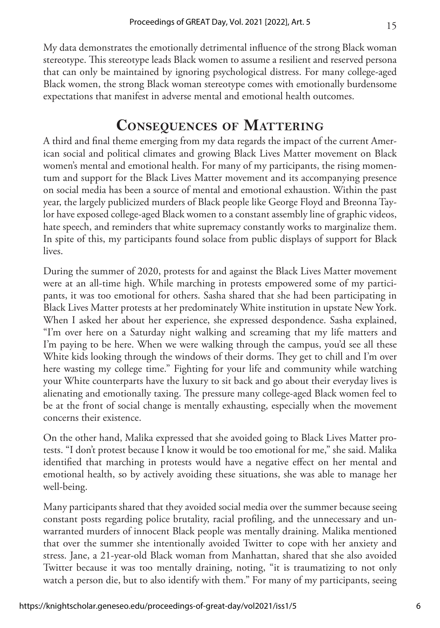My data demonstrates the emotionally detrimental influence of the strong Black woman stereotype. This stereotype leads Black women to assume a resilient and reserved persona that can only be maintained by ignoring psychological distress. For many college-aged Black women, the strong Black woman stereotype comes with emotionally burdensome expectations that manifest in adverse mental and emotional health outcomes.

### **Consequences of Mattering**

A third and final theme emerging from my data regards the impact of the current American social and political climates and growing Black Lives Matter movement on Black women's mental and emotional health. For many of my participants, the rising momentum and support for the Black Lives Matter movement and its accompanying presence on social media has been a source of mental and emotional exhaustion. Within the past year, the largely publicized murders of Black people like George Floyd and Breonna Taylor have exposed college-aged Black women to a constant assembly line of graphic videos, hate speech, and reminders that white supremacy constantly works to marginalize them. In spite of this, my participants found solace from public displays of support for Black lives.

During the summer of 2020, protests for and against the Black Lives Matter movement were at an all-time high. While marching in protests empowered some of my participants, it was too emotional for others. Sasha shared that she had been participating in Black Lives Matter protests at her predominately White institution in upstate New York. When I asked her about her experience, she expressed despondence. Sasha explained, "I'm over here on a Saturday night walking and screaming that my life matters and I'm paying to be here. When we were walking through the campus, you'd see all these White kids looking through the windows of their dorms. They get to chill and I'm over here wasting my college time." Fighting for your life and community while watching your White counterparts have the luxury to sit back and go about their everyday lives is alienating and emotionally taxing. The pressure many college-aged Black women feel to be at the front of social change is mentally exhausting, especially when the movement concerns their existence.

On the other hand, Malika expressed that she avoided going to Black Lives Matter protests. "I don't protest because I know it would be too emotional for me," she said. Malika identified that marching in protests would have a negative effect on her mental and emotional health, so by actively avoiding these situations, she was able to manage her well-being.

Many participants shared that they avoided social media over the summer because seeing constant posts regarding police brutality, racial profiling, and the unnecessary and unwarranted murders of innocent Black people was mentally draining. Malika mentioned that over the summer she intentionally avoided Twitter to cope with her anxiety and stress. Jane, a 21-year-old Black woman from Manhattan, shared that she also avoided Twitter because it was too mentally draining, noting, "it is traumatizing to not only watch a person die, but to also identify with them." For many of my participants, seeing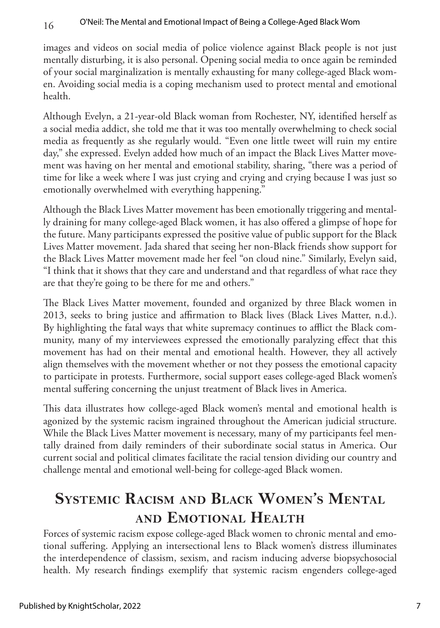images and videos on social media of police violence against Black people is not just mentally disturbing, it is also personal. Opening social media to once again be reminded of your social marginalization is mentally exhausting for many college-aged Black women. Avoiding social media is a coping mechanism used to protect mental and emotional health.

Although Evelyn, a 21-year-old Black woman from Rochester, NY, identified herself as a social media addict, she told me that it was too mentally overwhelming to check social media as frequently as she regularly would. "Even one little tweet will ruin my entire day," she expressed. Evelyn added how much of an impact the Black Lives Matter movement was having on her mental and emotional stability, sharing, "there was a period of time for like a week where I was just crying and crying and crying because I was just so emotionally overwhelmed with everything happening."

Although the Black Lives Matter movement has been emotionally triggering and mentally draining for many college-aged Black women, it has also offered a glimpse of hope for the future. Many participants expressed the positive value of public support for the Black Lives Matter movement. Jada shared that seeing her non-Black friends show support for the Black Lives Matter movement made her feel "on cloud nine." Similarly, Evelyn said, "I think that it shows that they care and understand and that regardless of what race they are that they're going to be there for me and others."

The Black Lives Matter movement, founded and organized by three Black women in 2013, seeks to bring justice and affirmation to Black lives (Black Lives Matter, n.d.). By highlighting the fatal ways that white supremacy continues to afflict the Black community, many of my interviewees expressed the emotionally paralyzing effect that this movement has had on their mental and emotional health. However, they all actively align themselves with the movement whether or not they possess the emotional capacity to participate in protests. Furthermore, social support eases college-aged Black women's mental suffering concerning the unjust treatment of Black lives in America.

This data illustrates how college-aged Black women's mental and emotional health is agonized by the systemic racism ingrained throughout the American judicial structure. While the Black Lives Matter movement is necessary, many of my participants feel mentally drained from daily reminders of their subordinate social status in America. Our current social and political climates facilitate the racial tension dividing our country and challenge mental and emotional well-being for college-aged Black women.

# **Systemic Racism and Black Women's Mental and Emotional Health**

Forces of systemic racism expose college-aged Black women to chronic mental and emotional suffering. Applying an intersectional lens to Black women's distress illuminates the interdependence of classism, sexism, and racism inducing adverse biopsychosocial health. My research findings exemplify that systemic racism engenders college-aged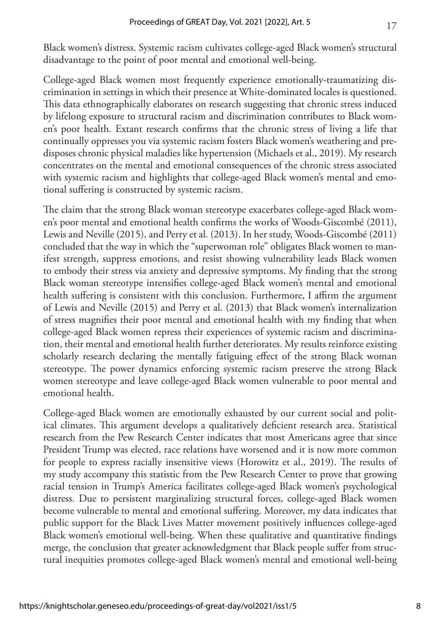Black women's distress. Systemic racism cultivates college-aged Black women's structural disadvantage to the point of poor mental and emotional well-being.

College-aged Black women most frequently experience emotionally-traumatizing discrimination in settings in which their presence at White-dominated locales is questioned. This data ethnographically elaborates on research suggesting that chronic stress induced by lifelong exposure to structural racism and discrimination contributes to Black women's poor health. Extant research confirms that the chronic stress of living a life that continually oppresses you via systemic racism fosters Black women's weathering and predisposes chronic physical maladies like hypertension (Michaels et al., 2019). My research concentrates on the mental and emotional consequences of the chronic stress associated with systemic racism and highlights that college-aged Black women's mental and emotional suffering is constructed by systemic racism.

The claim that the strong Black woman stereotype exacerbates college-aged Black women's poor mental and emotional health confirms the works of Woods-Giscombé (2011), Lewis and Neville (2015), and Perry et al. (2013). In her study, Woods-Giscombé (2011) concluded that the way in which the "superwoman role" obligates Black women to manifest strength, suppress emotions, and resist showing vulnerability leads Black women to embody their stress via anxiety and depressive symptoms. My finding that the strong Black woman stereotype intensifies college-aged Black women's mental and emotional health suffering is consistent with this conclusion. Furthermore, I affirm the argument of Lewis and Neville (2015) and Perry et al. (2013) that Black women's internalization of stress magnifies their poor mental and emotional health with my finding that when college-aged Black women repress their experiences of systemic racism and discrimination, their mental and emotional health further deteriorates. My results reinforce existing scholarly research declaring the mentally fatiguing effect of the strong Black woman stereotype. The power dynamics enforcing systemic racism preserve the strong Black women stereotype and leave college-aged Black women vulnerable to poor mental and emotional health.

College-aged Black women are emotionally exhausted by our current social and political climates. This argument develops a qualitatively deficient research area. Statistical research from the Pew Research Center indicates that most Americans agree that since President Trump was elected, race relations have worsened and it is now more common for people to express racially insensitive views (Horowitz et al., 2019). The results of my study accompany this statistic from the Pew Research Center to prove that growing racial tension in Trump's America facilitates college-aged Black women's psychological distress. Due to persistent marginalizing structural forces, college-aged Black women become vulnerable to mental and emotional suffering. Moreover, my data indicates that public support for the Black Lives Matter movement positively influences college-aged Black women's emotional well-being. When these qualitative and quantitative findings merge, the conclusion that greater acknowledgment that Black people suffer from structural inequities promotes college-aged Black women's mental and emotional well-being

17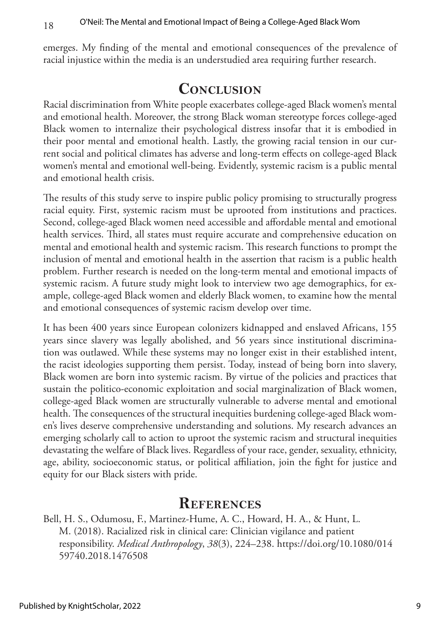emerges. My finding of the mental and emotional consequences of the prevalence of racial injustice within the media is an understudied area requiring further research.

### **CONCLUSION**

Racial discrimination from White people exacerbates college-aged Black women's mental and emotional health. Moreover, the strong Black woman stereotype forces college-aged Black women to internalize their psychological distress insofar that it is embodied in their poor mental and emotional health. Lastly, the growing racial tension in our current social and political climates has adverse and long-term effects on college-aged Black women's mental and emotional well-being. Evidently, systemic racism is a public mental and emotional health crisis.

The results of this study serve to inspire public policy promising to structurally progress racial equity. First, systemic racism must be uprooted from institutions and practices. Second, college-aged Black women need accessible and affordable mental and emotional health services. Third, all states must require accurate and comprehensive education on mental and emotional health and systemic racism. This research functions to prompt the inclusion of mental and emotional health in the assertion that racism is a public health problem. Further research is needed on the long-term mental and emotional impacts of systemic racism. A future study might look to interview two age demographics, for example, college-aged Black women and elderly Black women, to examine how the mental and emotional consequences of systemic racism develop over time.

It has been 400 years since European colonizers kidnapped and enslaved Africans, 155 years since slavery was legally abolished, and 56 years since institutional discrimination was outlawed. While these systems may no longer exist in their established intent, the racist ideologies supporting them persist. Today, instead of being born into slavery, Black women are born into systemic racism. By virtue of the policies and practices that sustain the politico-economic exploitation and social marginalization of Black women, college-aged Black women are structurally vulnerable to adverse mental and emotional health. The consequences of the structural inequities burdening college-aged Black women's lives deserve comprehensive understanding and solutions. My research advances an emerging scholarly call to action to uproot the systemic racism and structural inequities devastating the welfare of Black lives. Regardless of your race, gender, sexuality, ethnicity, age, ability, socioeconomic status, or political affiliation, join the fight for justice and equity for our Black sisters with pride.

#### **References**

Bell, H. S., Odumosu, F., Martinez-Hume, A. C., Howard, H. A., & Hunt, L. M. (2018). Racialized risk in clinical care: Clinician vigilance and patient responsibility. *Medical Anthropology*, *38*(3), 224–238. [https://doi.org/10.1080/014](https://doi.org/10.1080/01459740.2018.1476508) [59740.2018.1476508](https://doi.org/10.1080/01459740.2018.1476508)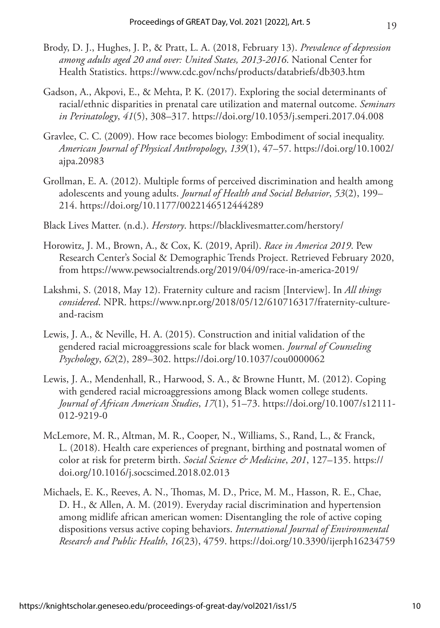- Brody, D. J., Hughes, J. P., & Pratt, L. A. (2018, February 13). *Prevalence of depression among adults aged 20 and over: United States, 2013-2016*. National Center for Health Statistics. <https://www.cdc.gov/nchs/products/databriefs/db303.htm>
- Gadson, A., Akpovi, E., & Mehta, P. K. (2017). Exploring the social determinants of racial/ethnic disparities in prenatal care utilization and maternal outcome. *Seminars in Perinatology*, *41*(5), 308–317.<https://doi.org/10.1053/j.semperi.2017.04.008>
- Gravlee, C. C. (2009). How race becomes biology: Embodiment of social inequality. *American Journal of Physical Anthropology*, *139*(1), 47–57. [https://doi.org/10.1002/](https://doi.org/10.1002/ajpa.20983
) [ajpa.20983](https://doi.org/10.1002/ajpa.20983
)
- Grollman, E. A. (2012). Multiple forms of perceived discrimination and health among adolescents and young adults. *Journal of Health and Social Behavior*, *53*(2), 199– 214. <https://doi.org/10.1177/0022146512444289>
- Black Lives Matter. (n.d.). *Herstory*. <https://blacklivesmatter.com/herstory/>
- Horowitz, J. M., Brown, A., & Cox, K. (2019, April). *Race in America 2019*. Pew Research Center's Social & Demographic Trends Project. Retrieved February 2020, from<https://www.pewsocialtrends.org/2019/04/09/race-in-america-2019/>
- Lakshmi, S. (2018, May 12). Fraternity culture and racism [Interview]. In *All things considered*. NPR. [https://www.npr.org/2018/05/12/610716317/fraternity-culture](https://www.npr.org/2018/05/12/610716317/fraternity-culture-and-racism)[and-racism](https://www.npr.org/2018/05/12/610716317/fraternity-culture-and-racism)
- Lewis, J. A., & Neville, H. A. (2015). Construction and initial validation of the gendered racial microaggressions scale for black women. *Journal of Counseling Psychology*, *62*(2), 289–302. <https://doi.org/10.1037/cou0000062>
- Lewis, J. A., Mendenhall, R., Harwood, S. A., & Browne Huntt, M. (2012). Coping with gendered racial microaggressions among Black women college students. *Journal of African American Studies*, *17*(1), 51–73. [https://doi.org/10.1007/s12111-](https://link.springer.com/article/10.1007/s12111-012-9219-0) [012-9219-0](https://link.springer.com/article/10.1007/s12111-012-9219-0)
- McLemore, M. R., Altman, M. R., Cooper, N., Williams, S., Rand, L., & Franck, L. (2018). Health care experiences of pregnant, birthing and postnatal women of color at risk for preterm birth. *Social Science & Medicine*, *201*, 127–135. [https://](https://doi.org/10.1016/j.socscimed.2018.02.013) [doi.org/10.1016/j.socscimed.2018.02.013](https://doi.org/10.1016/j.socscimed.2018.02.013)
- Michaels, E. K., Reeves, A. N., Thomas, M. D., Price, M. M., Hasson, R. E., Chae, D. H., & Allen, A. M. (2019). Everyday racial discrimination and hypertension among midlife african american women: Disentangling the role of active coping dispositions versus active coping behaviors. *International Journal of Environmental Research and Public Health*, *16*(23), 4759.<https://doi.org/10.3390/ijerph16234759>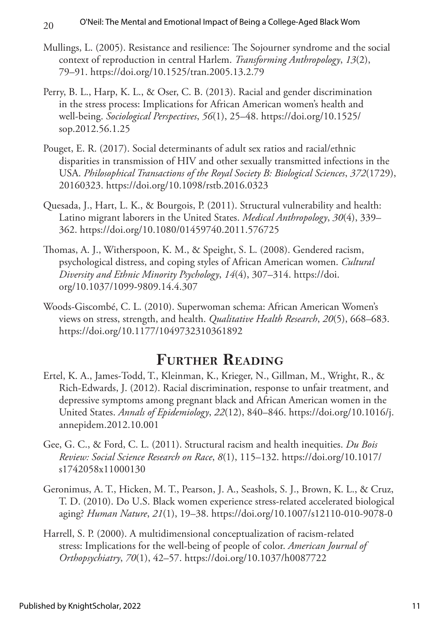- Mullings, L. (2005). Resistance and resilience: The Sojourner syndrome and the social context of reproduction in central Harlem. *Transforming Anthropology*, *13*(2), 79–91. <https://doi.org/10.1525/tran.2005.13.2.79>
- Perry, B. L., Harp, K. L., & Oser, C. B. (2013). Racial and gender discrimination in the stress process: Implications for African American women's health and well-being. *Sociological Perspectives*, *56*(1), 25–48. [https://doi.org/10.1525/](https://doi.org/10.1525/sop.2012.56.1.25) [sop.2012.56.1.25](https://doi.org/10.1525/sop.2012.56.1.25)
- Pouget, E. R. (2017). Social determinants of adult sex ratios and racial/ethnic disparities in transmission of HIV and other sexually transmitted infections in the USA. *Philosophical Transactions of the Royal Society B: Biological Sciences*, *372*(1729), 20160323. <https://doi.org/10.1098/rstb.2016.0323>
- Quesada, J., Hart, L. K., & Bourgois, P. (2011). Structural vulnerability and health: Latino migrant laborers in the United States. *Medical Anthropology*, *30*(4), 339– 362. <https://doi.org/10.1080/01459740.2011.576725>
- Thomas, A. J., Witherspoon, K. M., & Speight, S. L. (2008). Gendered racism, psychological distress, and coping styles of African American women. *Cultural Diversity and Ethnic Minority Psychology*, *14*(4), 307–314. [https://doi.](https://psycnet.apa.org/doi/10.1037/1099-9809.14.4.307) [org/10.1037/1099-9809.14.4.307](https://psycnet.apa.org/doi/10.1037/1099-9809.14.4.307)
- Woods-Giscombé, C. L. (2010). Superwoman schema: African American Women's views on stress, strength, and health. *Qualitative Health Research*, *20*(5), 668–683. <https://doi.org/10.1177/1049732310361892>

# **Further Reading**

- Ertel, K. A., James-Todd, T., Kleinman, K., Krieger, N., Gillman, M., Wright, R., & Rich-Edwards, J. (2012). Racial discrimination, response to unfair treatment, and depressive symptoms among pregnant black and African American women in the United States. *Annals of Epidemiology*, *22*(12), 840–846. [https://doi.org/10.1016/j.](https://doi.org/10.1016/j.annepidem.2012.10.001) [annepidem.2012.10.001](https://doi.org/10.1016/j.annepidem.2012.10.001)
- Gee, G. C., & Ford, C. L. (2011). Structural racism and health inequities. *Du Bois Review: Social Science Research on Race*, *8*(1), 115–132. [https://doi.org/10.1017/](https://doi.org/10.1017/s1742058x11000130) [s1742058x11000130](https://doi.org/10.1017/s1742058x11000130)
- Geronimus, A. T., Hicken, M. T., Pearson, J. A., Seashols, S. J., Brown, K. L., & Cruz, T. D. (2010). Do U.S. Black women experience stress-related accelerated biological aging? *Human Nature*, *21*(1), 19–38.<https://doi.org/10.1007/s12110-010-9078-0>
- Harrell, S. P. (2000). A multidimensional conceptualization of racism-related stress: Implications for the well-being of people of color. *American Journal of Orthopsychiatry*, *70*(1), 42–57.<https://doi.org/10.1037/h0087722>